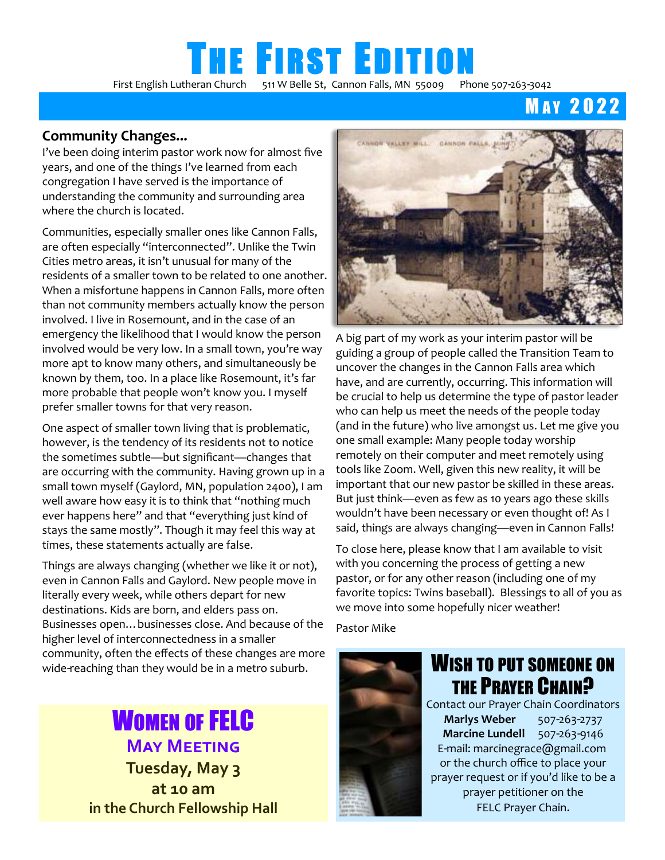# **THE FIRST EDITION**

First English Lutheran Church511 W Belle St, Cannon Falls, MN 55009Phone 507-263-3042

**MAY 2022** 

#### **Community Changes...**

I've been doing interim pastor work now for almost five years, and one of the things I've learned from each congregation I have served is the importance of understanding the community and surrounding area where the church is located.

Communities, especially smaller ones like Cannon Falls, are often especially "interconnected". Unlike the Twin Cities metro areas, it isn't unusual for many of the residents of a smaller town to be related to one another. When a misfortune happens in Cannon Falls, more often than not community members actually know the person involved. I live in Rosemount, and in the case of an emergency the likelihood that I would know the person involved would be very low. In a small town, you're way more apt to know many others, and simultaneously be known by them, too. In a place like Rosemount, it's far more probable that people won't know you. I myself prefer smaller towns for that very reason.

One aspect of smaller town living that is problematic, however, is the tendency of its residents not to notice the sometimes subtle—but significant—changes that are occurring with the community. Having grown up in a small town myself (Gaylord, MN, population 2400), I am well aware how easy it is to think that "nothing much ever happens here" and that "everything just kind of stays the same mostly". Though it may feel this way at times, these statements actually are false.

Things are always changing (whether we like it or not), even in Cannon Falls and Gaylord. New people move in literally every week, while others depart for new destinations. Kids are born, and elders pass on. Businesses open…businesses close. And because of the higher level of interconnectedness in a smaller community, often the effects of these changes are more wide-reaching than they would be in a metro suburb.

### **WOMEN OF FELC May Meeting**

**Tuesday, May 3 at 10 am in the Church Fellowship Hall** 



A big part of my work as your interim pastor will be guiding a group of people called the Transition Team to uncover the changes in the Cannon Falls area which have, and are currently, occurring. This information will be crucial to help us determine the type of pastor leader who can help us meet the needs of the people today (and in the future) who live amongst us. Let me give you one small example: Many people today worship remotely on their computer and meet remotely using tools like Zoom. Well, given this new reality, it will be important that our new pastor be skilled in these areas. But just think—even as few as 10 years ago these skills wouldn't have been necessary or even thought of! As I said, things are always changing—even in Cannon Falls!

To close here, please know that I am available to visit with you concerning the process of getting a new pastor, or for any other reason (including one of my favorite topics: Twins baseball). Blessings to all of you as we move into some hopefully nicer weather!

Pastor Mike



### WISH TO PUT SOMEONE ON THE PRAYER CHAIN?

Contact our Prayer Chain Coordinators **Marlys Weber** 507-263-2737 **Marcine Lundell** 507-263-9146 E-mail: [marcinegrace@gmail.com](mailto:marcinegrace@gmail.com) or the church office to place your prayer request or if you'd like to be a prayer petitioner on the FELC Prayer Chain.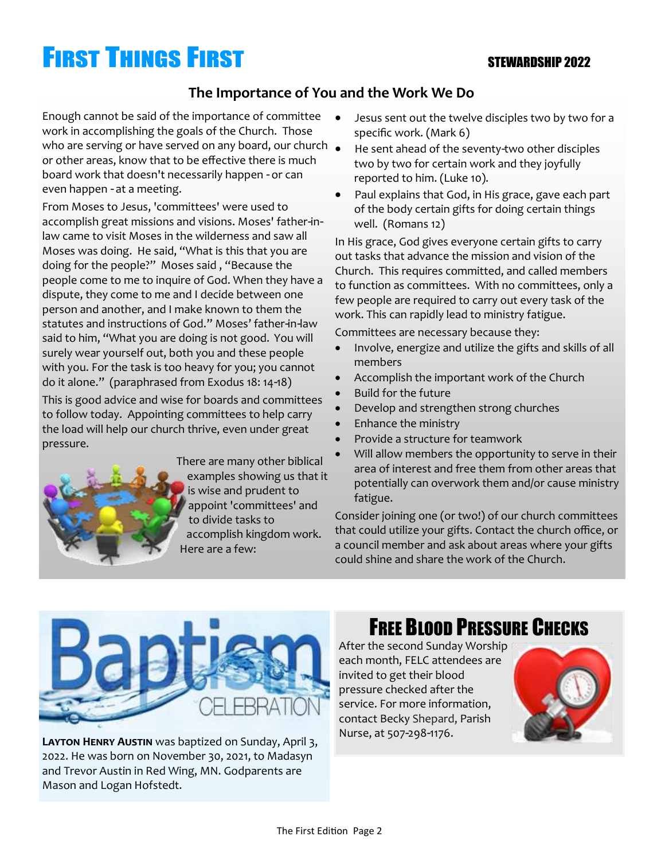# **FIRST THINGS FIRST**

#### STEWARDSHIP 2022

#### **The Importance of You and the Work We Do**

Enough cannot be said of the importance of committee work in accomplishing the goals of the Church. Those who are serving or have served on any board, our church  $\bullet$ or other areas, know that to be effective there is much board work that doesn't necessarily happen - or can even happen - at a meeting.

From Moses to Jesus, 'committees' were used to accomplish great missions and visions. Moses' father-inlaw came to visit Moses in the wilderness and saw all Moses was doing. He said, "What is this that you are doing for the people?" Moses said , "Because the people come to me to inquire of God. When they have a dispute, they come to me and I decide between one person and another, and I make known to them the statutes and instructions of God." Moses' father-in-law said to him, "What you are doing is not good. You will surely wear yourself out, both you and these people with you. For the task is too heavy for you; you cannot do it alone." (paraphrased from Exodus 18: 14-18)

This is good advice and wise for boards and committees to follow today. Appointing committees to help carry the load will help our church thrive, even under great pressure.



There are many other biblical examples showing us that it is wise and prudent to appoint 'committees' and to divide tasks to accomplish kingdom work. Here are a few:

- Jesus sent out the twelve disciples two by two for a specific work. (Mark 6)
- He sent ahead of the seventy-two other disciples two by two for certain work and they joyfully reported to him. (Luke 10).
- Paul explains that God, in His grace, gave each part of the body certain gifts for doing certain things well. (Romans 12)

In His grace, God gives everyone certain gifts to carry out tasks that advance the mission and vision of the Church. This requires committed, and called members to function as committees. With no committees, only a few people are required to carry out every task of the work. This can rapidly lead to ministry fatigue.

Committees are necessary because they:

- Involve, energize and utilize the gifts and skills of all members
- Accomplish the important work of the Church
- Build for the future
- Develop and strengthen strong churches
- Enhance the ministry
- Provide a structure for teamwork
- Will allow members the opportunity to serve in their area of interest and free them from other areas that potentially can overwork them and/or cause ministry fatigue.

Consider joining one (or two!) of our church committees that could utilize your gifts. Contact the church office, or a council member and ask about areas where your gifts could shine and share the work of the Church.



#### **Layton Henry Austin** was baptized on Sunday, April 3, 2022. He was born on November 30, 2021, to Madasyn and Trevor Austin in Red Wing, MN. Godparents are Mason and Logan Hofstedt.

### FREE BLOOD PRESSURE CHECKS

After the second Sunday Worship each month, FELC attendees are invited to get their blood pressure checked after the service. For more information, contact Becky Shepard, Parish Nurse, at 507-298-1176.

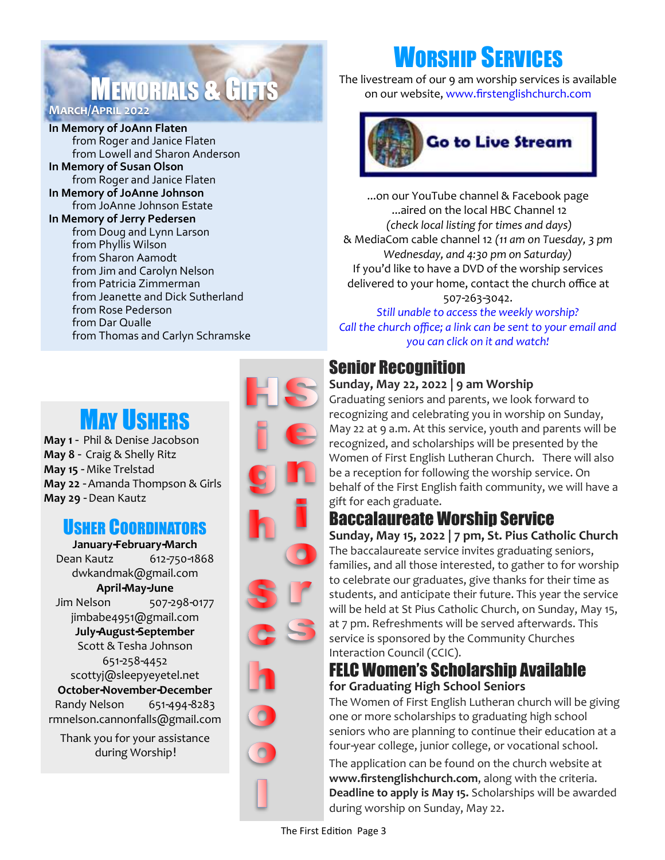### **MEMORIALS & GIFTS March/April 2022**

**In Memory of JoAnn Flaten**  from Roger and Janice Flaten from Lowell and Sharon Anderson **In Memory of Susan Olson** from Roger and Janice Flaten

**In Memory of JoAnne Johnson** from JoAnne Johnson Estate **In Memory of Jerry Pedersen** from Doug and Lynn Larson from Phyllis Wilson from Sharon Aamodt from Jim and Carolyn Nelson from Patricia Zimmerman from Jeanette and Dick Sutherland from Rose Pederson from Dar Qualle from Thomas and Carlyn Schramske

## **MAY USHERS**

**May 1** - Phil & Denise Jacobson **May 8** - Craig & Shelly Ritz **May 15** - Mike Trelstad **May 22** - Amanda Thompson & Girls **May 29** - Dean Kautz

### USHER COORDINATORS

**January-February-March** Dean Kautz 612-750-1868 dwkandmak@gmail.com **April-May-June** Jim Nelson 507-298-0177 jimbabe4951@gmail.com **July-August-September** Scott & Tesha Johnson 651-258-4452 scottyj@sleepyeyetel.net **October-November-December** Randy Nelson 651-494-8283 rmnelson.cannonfalls@gmail.com

Thank you for your assistance during Worship!



# WORSHIP SERVICES

The livestream of our 9 am worship services is available on our website, www.firstenglishchurch.com



...on our YouTube channel & Facebook page ...aired on the local HBC Channel 12 *(check local listing for times and days)*  & MediaCom cable channel 12 *(11 am on Tuesday, 3 pm Wednesday, and 4:30 pm on Saturday)* If you'd like to have a DVD of the worship services delivered to your home, contact the church office at 507-263-3042.

*Still unable to access the weekly worship? Call the church office; a link can be sent to your email and you can click on it and watch!* 

### Senior Recognition

#### **Sunday, May 22, 2022 | 9 am Worship**

Graduating seniors and parents, we look forward to recognizing and celebrating you in worship on Sunday, May 22 at 9 a.m. At this service, youth and parents will be recognized, and scholarships will be presented by the Women of First English Lutheran Church. There will also be a reception for following the worship service. On behalf of the First English faith community, we will have a gift for each graduate.

### Baccalaureate Worship Service

**Sunday, May 15, 2022 | 7 pm, St. Pius Catholic Church** The baccalaureate service invites graduating seniors, families, and all those interested, to gather to for worship to celebrate our graduates, give thanks for their time as students, and anticipate their future. This year the service will be held at St Pius Catholic Church, on Sunday, May 15, at 7 pm. Refreshments will be served afterwards. This service is sponsored by the Community Churches Interaction Council (CCIC).

#### FELC Women's Scholarship Available **for Graduating High School Seniors**

The Women of First English Lutheran church will be giving one or more scholarships to graduating high school seniors who are planning to continue their education at a four-year college, junior college, or vocational school.

The application can be found on the church website at **www.firstenglishchurch.com**, along with the criteria. **Deadline to apply is May 15.** Scholarships will be awarded during worship on Sunday, May 22.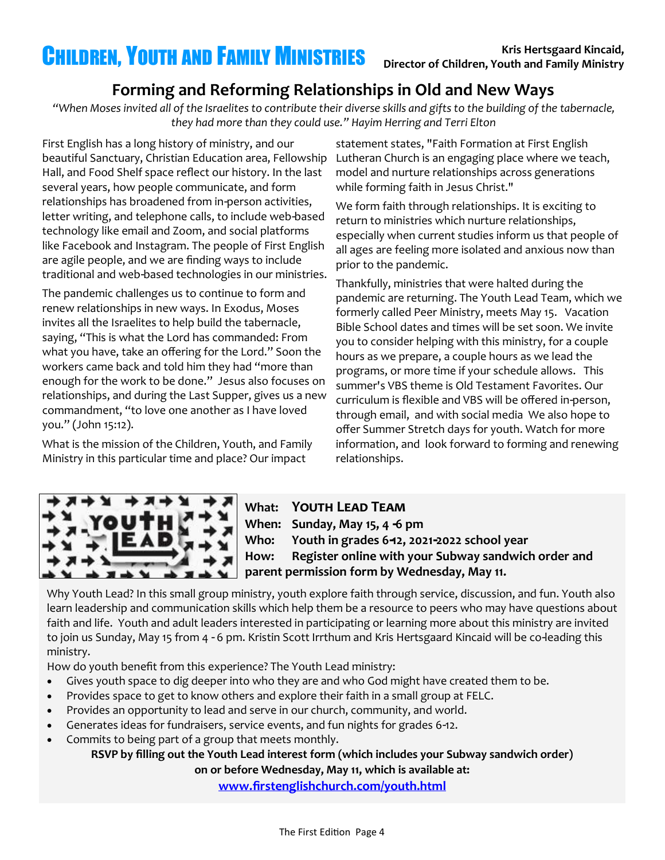### **Forming and Reforming Relationships in Old and New Ways**

*"When Moses invited all of the Israelites to contribute their diverse skills and gifts to the building of the tabernacle, they had more than they could use." Hayim Herring and Terri Elton*

First English has a long history of ministry, and our beautiful Sanctuary, Christian Education area, Fellowship Hall, and Food Shelf space reflect our history. In the last several years, how people communicate, and form relationships has broadened from in-person activities, letter writing, and telephone calls, to include web-based technology like email and Zoom, and social platforms like Facebook and Instagram. The people of First English are agile people, and we are finding ways to include traditional and web-based technologies in our ministries.

The pandemic challenges us to continue to form and renew relationships in new ways. In Exodus, Moses invites all the Israelites to help build the tabernacle, saying, "This is what the Lord has commanded: From what you have, take an offering for the Lord." Soon the workers came back and told him they had "more than enough for the work to be done." Jesus also focuses on relationships, and during the Last Supper, gives us a new commandment, "to love one another as I have loved you." (John 15:12).

What is the mission of the Children, Youth, and Family Ministry in this particular time and place? Our impact

statement states, "Faith Formation at First English Lutheran Church is an engaging place where we teach, model and nurture relationships across generations while forming faith in Jesus Christ."

We form faith through relationships. It is exciting to return to ministries which nurture relationships, especially when current studies inform us that people of all ages are feeling more isolated and anxious now than prior to the pandemic.

Thankfully, ministries that were halted during the pandemic are returning. The Youth Lead Team, which we formerly called Peer Ministry, meets May 15. Vacation Bible School dates and times will be set soon. We invite you to consider helping with this ministry, for a couple hours as we prepare, a couple hours as we lead the programs, or more time if your schedule allows. This summer's VBS theme is Old Testament Favorites. Our curriculum is flexible and VBS will be offered in-person, through email, and with social media We also hope to offer Summer Stretch days for youth. Watch for more information, and look forward to forming and renewing relationships.



**What: Youth Lead Team When: Sunday, May 15, 4 -6 pm Who: Youth in grades 6-12, 2021-2022 school year How: Register online with your Subway sandwich order and parent permission form by Wednesday, May 11.** 

Why Youth Lead? In this small group ministry, youth explore faith through service, discussion, and fun. Youth also learn leadership and communication skills which help them be a resource to peers who may have questions about faith and life. Youth and adult leaders interested in participating or learning more about this ministry are invited to join us Sunday, May 15 from 4 - 6 pm. Kristin Scott Irrthum and Kris Hertsgaard Kincaid will be co-leading this ministry.

How do youth benefit from this experience? The Youth Lead ministry:

- Gives youth space to dig deeper into who they are and who God might have created them to be.
- Provides space to get to know others and explore their faith in a small group at FELC.
- Provides an opportunity to lead and serve in our church, community, and world.
- Generates ideas for fundraisers, service events, and fun nights for grades 6-12.
- Commits to being part of a group that meets monthly.

**RSVP by filling out the Youth Lead interest form (which includes your Subway sandwich order) on or before Wednesday, May 11, which is available at:**

**[www.firstenglishchurch.com/youth.html](http://www.firstenglishchurch.com/youth.html)**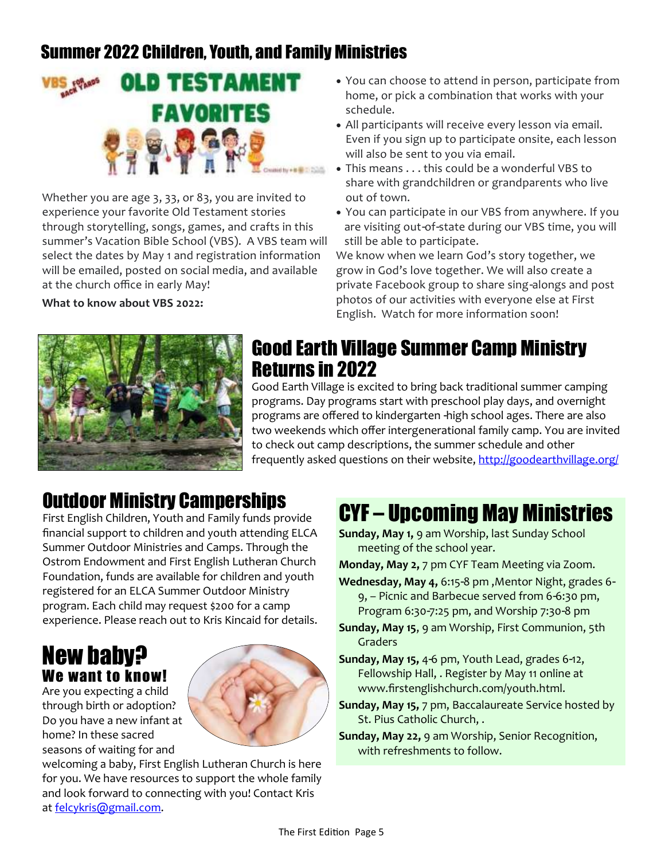### Summer 2022 Children, Youth, and Family Ministries



Whether you are age 3, 33, or 83, you are invited to experience your favorite Old Testament stories through storytelling, songs, games, and crafts in this summer's Vacation Bible School (VBS). A VBS team will select the dates by May 1 and registration information will be emailed, posted on social media, and available at the church office in early May!

**What to know about VBS 2022:**

- You can choose to attend in person, participate from home, or pick a combination that works with your schedule.
- All participants will receive every lesson via email. Even if you sign up to participate onsite, each lesson will also be sent to you via email.
- This means . . . this could be a wonderful VBS to share with grandchildren or grandparents who live out of town.
- You can participate in our VBS from anywhere. If you are visiting out-of-state during our VBS time, you will still be able to participate.

We know when we learn God's story together, we grow in God's love together. We will also create a private Facebook group to share sing-alongs and post photos of our activities with everyone else at First English. Watch for more information soon!



### Good Earth Village Summer Camp Ministry Returns in 2022

Good Earth Village is excited to bring back traditional summer camping programs. Day programs start with preschool play days, and overnight programs are offered to kindergarten -high school ages. There are also two weekends which offer intergenerational family camp. You are invited to check out camp descriptions, the summer schedule and other frequently asked questions on their website, <http://goodearthvillage.org/>

### Outdoor Ministry Camperships

First English Children, Youth and Family funds provide financial support to children and youth attending ELCA Summer Outdoor Ministries and Camps. Through the Ostrom Endowment and First English Lutheran Church Foundation, funds are available for children and youth registered for an ELCA Summer Outdoor Ministry program. Each child may request \$200 for a camp experience. Please reach out to Kris Kincaid for details.

### New baby? We want to know!

Are you expecting a child through birth or adoption? Do you have a new infant at home? In these sacred seasons of waiting for and



# CYF – Upcoming May Ministries

**Sunday, May 1,** 9 am Worship, last Sunday School meeting of the school year.

**Monday, May 2,** 7 pm CYF Team Meeting via Zoom.

- **Wednesday, May 4,** 6:15-8 pm ,Mentor Night, grades 6- 9, – Picnic and Barbecue served from 6-6:30 pm, Program 6:30-7:25 pm, and Worship 7:30-8 pm
- **Sunday, May 15**, 9 am Worship, First Communion, 5th **Graders**
- **Sunday, May 15,** 4-6 pm, Youth Lead, grades 6-12, Fellowship Hall, . Register by May 11 online at www.firstenglishchurch.com/youth.html.
- **Sunday, May 15,** 7 pm, Baccalaureate Service hosted by St. Pius Catholic Church, .
- **Sunday, May 22,** 9 am Worship, Senior Recognition, with refreshments to follow.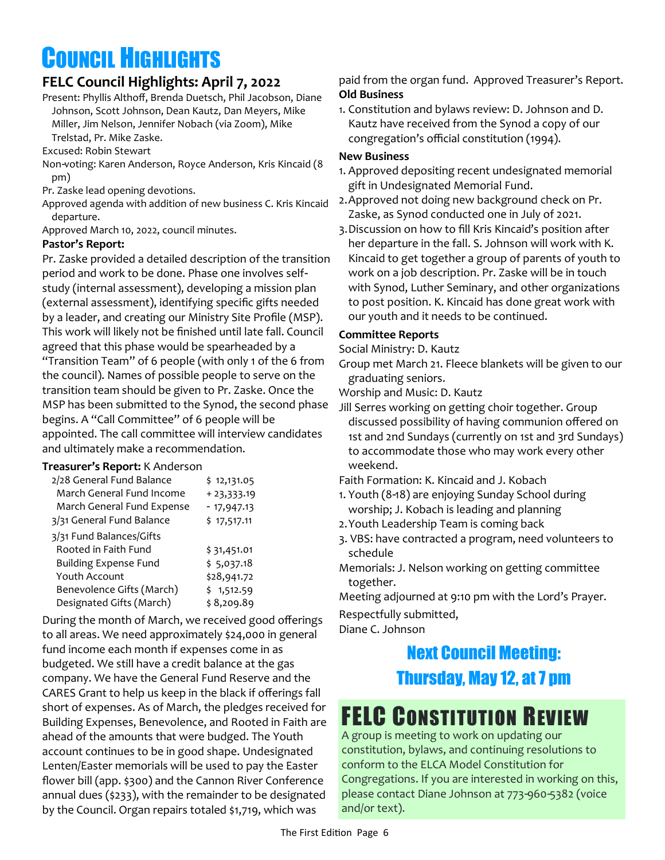# COUNCIL HIGHLIGHTS

#### **FELC Council Highlights: April 7, 2022**

Present: Phyllis Althoff, Brenda Duetsch, Phil Jacobson, Diane Johnson, Scott Johnson, Dean Kautz, Dan Meyers, Mike Miller, Jim Nelson, Jennifer Nobach (via Zoom), Mike Trelstad, Pr. Mike Zaske.

Excused: Robin Stewart

- Non-voting: Karen Anderson, Royce Anderson, Kris Kincaid (8 pm)
- Pr. Zaske lead opening devotions.
- Approved agenda with addition of new business C. Kris Kincaid departure.

Approved March 10, 2022, council minutes.

#### **Pastor's Report:**

Pr. Zaske provided a detailed description of the transition period and work to be done. Phase one involves selfstudy (internal assessment), developing a mission plan (external assessment), identifying specific gifts needed by a leader, and creating our Ministry Site Profile (MSP). This work will likely not be finished until late fall. Council agreed that this phase would be spearheaded by a "Transition Team" of 6 people (with only 1 of the 6 from the council). Names of possible people to serve on the transition team should be given to Pr. Zaske. Once the MSP has been submitted to the Synod, the second phase begins. A "Call Committee" of 6 people will be appointed. The call committee will interview candidates and ultimately make a recommendation.

#### **Treasurer's Report:** K Anderson

| 2/28 General Fund Balance    | \$12,131.05  |
|------------------------------|--------------|
| March General Fund Income    | $+23,333.19$ |
| March General Fund Expense   | $-17,947.13$ |
| 3/31 General Fund Balance    | \$17,517.11  |
| 3/31 Fund Balances/Gifts     |              |
| Rooted in Faith Fund         | \$31,451.01  |
| <b>Building Expense Fund</b> | \$5,037.18   |
| Youth Account                | \$28,941.72  |
| Benevolence Gifts (March)    | \$1,512.59   |
| Designated Gifts (March)     | \$8,209.89   |

During the month of March, we received good offerings to all areas. We need approximately \$24,000 in general fund income each month if expenses come in as budgeted. We still have a credit balance at the gas company. We have the General Fund Reserve and the CARES Grant to help us keep in the black if offerings fall short of expenses. As of March, the pledges received for Building Expenses, Benevolence, and Rooted in Faith are ahead of the amounts that were budged. The Youth account continues to be in good shape. Undesignated Lenten/Easter memorials will be used to pay the Easter flower bill (app. \$300) and the Cannon River Conference annual dues (\$233), with the remainder to be designated by the Council. Organ repairs totaled \$1,719, which was

paid from the organ fund. Approved Treasurer's Report. **Old Business**

1. Constitution and bylaws review: D. Johnson and D. Kautz have received from the Synod a copy of our congregation's official constitution (1994).

#### **New Business**

- 1. Approved depositing recent undesignated memorial gift in Undesignated Memorial Fund.
- 2.Approved not doing new background check on Pr. Zaske, as Synod conducted one in July of 2021.
- 3.Discussion on how to fill Kris Kincaid's position after her departure in the fall. S. Johnson will work with K. Kincaid to get together a group of parents of youth to work on a job description. Pr. Zaske will be in touch with Synod, Luther Seminary, and other organizations to post position. K. Kincaid has done great work with our youth and it needs to be continued.

#### **Committee Reports**

Social Ministry: D. Kautz

Group met March 21. Fleece blankets will be given to our graduating seniors.

Worship and Music: D. Kautz

Jill Serres working on getting choir together. Group discussed possibility of having communion offered on 1st and 2nd Sundays (currently on 1st and 3rd Sundays) to accommodate those who may work every other weekend.

Faith Formation: K. Kincaid and J. Kobach

- 1. Youth (8-18) are enjoying Sunday School during worship; J. Kobach is leading and planning
- 2.Youth Leadership Team is coming back
- 3. VBS: have contracted a program, need volunteers to schedule
- Memorials: J. Nelson working on getting committee together.

Meeting adjourned at 9:10 pm with the Lord's Prayer.

Respectfully submitted,

Diane C. Johnson

### Next Council Meeting: Thursday, May 12, at 7 pm

# **FELC CONSTITUTION REVIEW**

A group is meeting to work on updating our constitution, bylaws, and continuing resolutions to conform to the ELCA Model Constitution for Congregations. If you are interested in working on this, please contact Diane Johnson at 773-960-5382 (voice and/or text).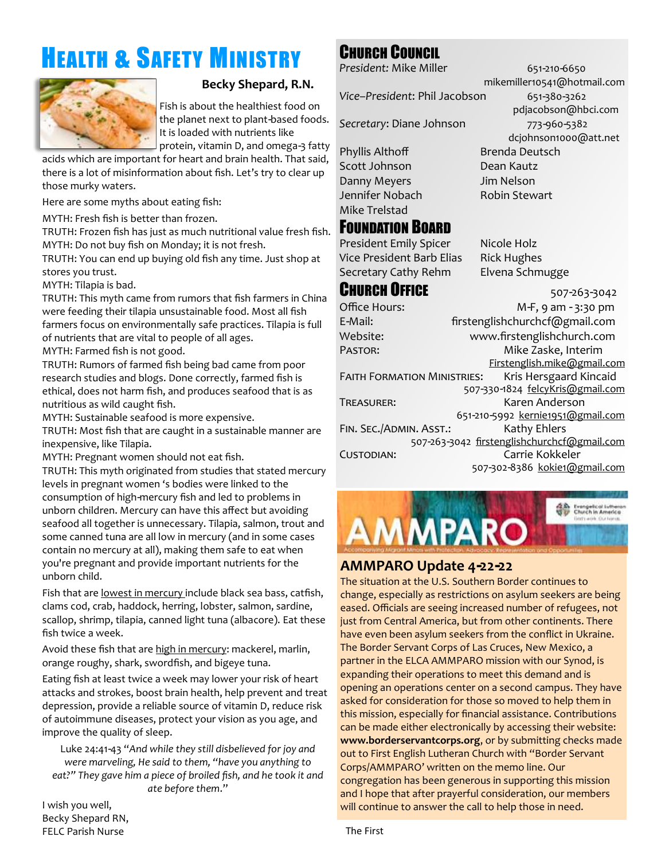# HEALTH & SAFETY MINISTRY



#### **Becky Shepard, R.N.**

Fish is about the healthiest food on the planet next to plant-based foods. It is loaded with nutrients like

protein, vitamin D, and omega-3 fatty

acids which are important for heart and brain health. That said, there is a lot of misinformation about fish. Let's try to clear up those murky waters.

Here are some myths about eating fish:

MYTH: Fresh fish is better than frozen.

TRUTH: Frozen fish has just as much nutritional value fresh fish. MYTH: Do not buy fish on Monday; it is not fresh.

TRUTH: You can end up buying old fish any time. Just shop at stores you trust.

MYTH: Tilapia is bad.

TRUTH: This myth came from rumors that fish farmers in China were feeding their tilapia unsustainable food. Most all fish farmers focus on environmentally safe practices. Tilapia is full of nutrients that are vital to people of all ages.

MYTH: Farmed fish is not good.

TRUTH: Rumors of farmed fish being bad came from poor research studies and blogs. Done correctly, farmed fish is ethical, does not harm fish, and produces seafood that is as nutritious as wild caught fish.

MYTH: Sustainable seafood is more expensive.

TRUTH: Most fish that are caught in a sustainable manner are inexpensive, like Tilapia.

MYTH: Pregnant women should not eat fish.

TRUTH: This myth originated from studies that stated mercury levels in pregnant women 's bodies were linked to the consumption of high-mercury fish and led to problems in unborn children. Mercury can have this affect but avoiding seafood all together is unnecessary. Tilapia, salmon, trout and some canned tuna are all low in mercury (and in some cases contain no mercury at all), making them safe to eat when you're pregnant and provide important nutrients for the unborn child.

Fish that are lowest in mercury include black sea bass, catfish, clams cod, crab, haddock, herring, lobster, salmon, sardine, scallop, shrimp, tilapia, canned light tuna (albacore). Eat these fish twice a week.

Avoid these fish that are high in mercury: mackerel, marlin, orange roughy, shark, swordfish, and bigeye tuna.

Eating fish at least twice a week may lower your risk of heart attacks and strokes, boost brain health, help prevent and treat depression, provide a reliable source of vitamin D, reduce risk of autoimmune diseases, protect your vision as you age, and improve the quality of sleep.

Luke 24:41-43 "*And while they still disbelieved for joy and were marveling, He said to them, "have you anything to eat?" They gave him a piece of broiled fish, and he took it and ate before them*."

I wish you well, Becky Shepard RN, FELC Parish Nurse

### CHURCH COUNCIL

*President: Mike Miller* 651-210-6650

Secretary: Diane Johnson 773-960-5382

Phyllis Althoff Brenda Deutsch Scott Johnson Dean Kautz Danny Meyers Jim Nelson Jennifer Nobach Robin Stewart Mike Trelstad

### FOUNDATION BOARD

President Emily Spicer Nicole Holz Vice President Barb Elias Rick Hughes Secretary Cathy Rehm Elvena Schmugge

### **CHURCH OFFICE** 507-263-3042

Office Hours: M-F, 9 am - 3:30 pm E-Mail: [firstenglishchurchcf@gmail.com](mailto:felccf@frontiernet.net) Website: www.firstenglishchurch.com Pastor: Mike Zaske, Interim Firstenglish.mike@gmail.com FAITH FORMATION MINISTRIES: Kris Hersgaard Kincaid 507-330-1824 felcyKris@gmail.com Treasurer: Karen Anderson 651-210-5992 kernie1951@gmail.com FIN. SEC./ADMIN. ASST.: Kathy Ehlers 507-263-3042 [firstenglishchurchcf@gmail.com](mailto:felccf@frontiernet.net) Custodian: Carrie Kokkeler 507-302-8386 kokie1@gmail.com



#### **AMMPARO Update 4-22-22**

The situation at the U.S. Southern Border continues to change, especially as restrictions on asylum seekers are being eased. Officials are seeing increased number of refugees, not just from Central America, but from other continents. There have even been asylum seekers from the conflict in Ukraine. The Border Servant Corps of Las Cruces, New Mexico, a partner in the ELCA AMMPARO mission with our Synod, is expanding their operations to meet this demand and is opening an operations center on a second campus. They have asked for consideration for those so moved to help them in this mission, especially for financial assistance. Contributions can be made either electronically by accessing their website: **www.borderservantcorps.org**, or by submitting checks made out to First English Lutheran Church with "Border Servant Corps/AMMPARO' written on the memo line. Our congregation has been generous in supporting this mission and I hope that after prayerful consideration, our members will continue to answer the call to help those in need.

The First

mikemiller10541@hotmail.com *Vice–President*: Phil Jacobson 651-380-3262 pdjacobson@hbci.com dcjohnson1000@att.net